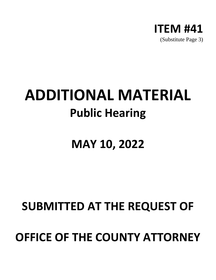

## **ADDITIONAL MATERIAL Public Hearing**

## **MAY 10, 2022**

## **SUBMITTED AT THE REQUEST OF**

## **OFFICE OF THE COUNTY ATTORNEY**